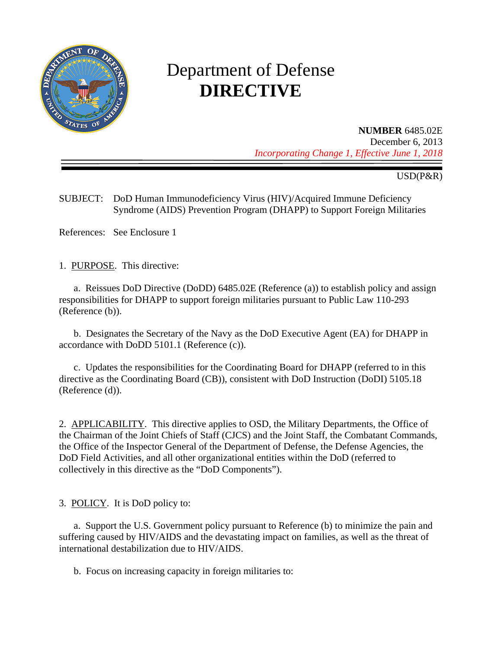

# Department of Defense **DIRECTIVE**

## **NUMBER** 6485.02E

December 6, 2013 *Incorporating Change 1, Effective June 1, 2018*

USD(P&R)

SUBJECT: DoD Human Immunodeficiency Virus (HIV)/Acquired Immune Deficiency Syndrome (AIDS) Prevention Program (DHAPP) to Support Foreign Militaries

References: See Enclosure 1

1. PURPOSE. This directive:

 a. Reissues DoD Directive (DoDD) 6485.02E (Reference (a)) to establish policy and assign responsibilities for DHAPP to support foreign militaries pursuant to Public Law 110-293 (Reference (b)).

 b. Designates the Secretary of the Navy as the DoD Executive Agent (EA) for DHAPP in accordance with DoDD 5101.1 (Reference (c)).

 c. Updates the responsibilities for the Coordinating Board for DHAPP (referred to in this directive as the Coordinating Board (CB)), consistent with DoD Instruction (DoDI) 5105.18 (Reference (d)).

2. APPLICABILITY. This directive applies to OSD, the Military Departments, the Office of the Chairman of the Joint Chiefs of Staff (CJCS) and the Joint Staff, the Combatant Commands, the Office of the Inspector General of the Department of Defense, the Defense Agencies, the DoD Field Activities, and all other organizational entities within the DoD (referred to collectively in this directive as the "DoD Components").

3. POLICY. It is DoD policy to:

 a. Support the U.S. Government policy pursuant to Reference (b) to minimize the pain and suffering caused by HIV/AIDS and the devastating impact on families, as well as the threat of international destabilization due to HIV/AIDS.

b. Focus on increasing capacity in foreign militaries to: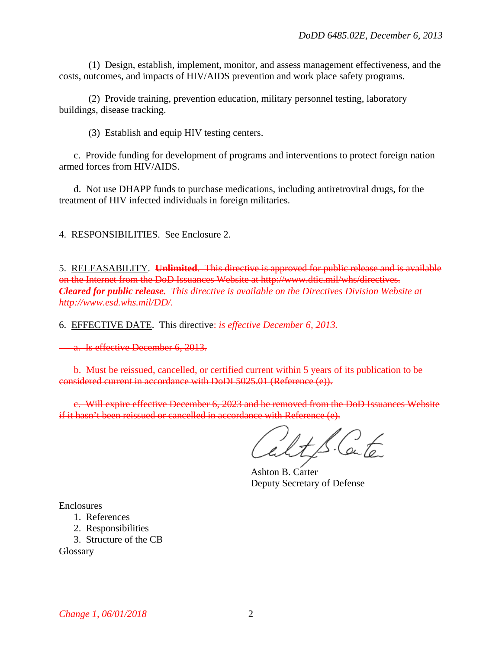(1) Design, establish, implement, monitor, and assess management effectiveness, and the costs, outcomes, and impacts of HIV/AIDS prevention and work place safety programs.

 (2) Provide training, prevention education, military personnel testing, laboratory buildings, disease tracking.

(3) Establish and equip HIV testing centers.

 c. Provide funding for development of programs and interventions to protect foreign nation armed forces from HIV/AIDS.

d. Not use DHAPP funds to purchase medications, including antiretroviral drugs, for the treatment of HIV infected individuals in foreign militaries.

4. RESPONSIBILITIES. See Enclosure 2.

5. RELEASABILITY. **Unlimited**. This directive is approved for public release and is available on the Internet from the DoD Issuances Website at http://www.dtic.mil/whs/directives. *Cleared for public release. This directive is available on the Directives Division Website at [http://www.esd.whs.mil/DD/.](http://www.esd.whs.mil/DD/)*

6. EFFECTIVE DATE. This directive: *is effective December 6, 2013.*

a. Is effective December 6, 2013.

 b. Must be reissued, cancelled, or certified current within 5 years of its publication to be considered current in accordance with DoDI 5025.01 (Reference (e)).

c. Will expire effective December 6, 2023 and be removed from the DoD Issuances Website if it hasn't been reissued or cancelled in accordance with Reference (e).

Ashton B. Carter Deputy Secretary of Defense

Enclosures

- 1. References
- 2. Responsibilities
- 3. Structure of the CB

**Glossary**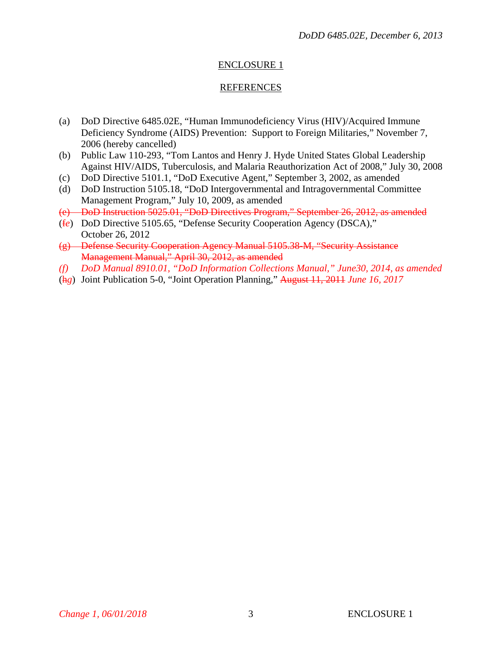### ENCLOSURE 1

#### REFERENCES

- (a) DoD Directive 6485.02E, "Human Immunodeficiency Virus (HIV)/Acquired Immune Deficiency Syndrome (AIDS) Prevention: Support to Foreign Militaries," November 7, 2006 (hereby cancelled)
- (b) Public Law 110-293, "Tom Lantos and Henry J. Hyde United States Global Leadership Against HIV/AIDS, Tuberculosis, and Malaria Reauthorization Act of 2008," July 30, 2008
- (c) DoD Directive 5101.1, "DoD Executive Agent," September 3, 2002, as amended
- (d) DoD Instruction 5105.18, "DoD Intergovernmental and Intragovernmental Committee Management Program," July 10, 2009, as amended
- (e) DoD Instruction 5025.01, "DoD Directives Program," September 26, 2012, as amended
- (f*e*) DoD Directive 5105.65, "Defense Security Cooperation Agency (DSCA)," October 26, 2012
- (g) Defense Security Cooperation Agency Manual 5105.38-M, "Security Assistance Management Manual," April 30, 2012, as amended
- *(f) DoD Manual 8910.01, "DoD Information Collections Manual," June30, 2014, as amended*
- (h*g*) Joint Publication 5-0, "Joint Operation Planning," August 11, 2011 *June 16, 2017*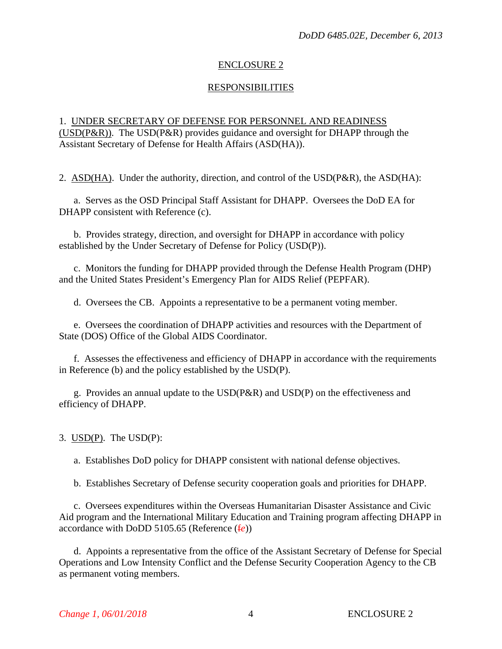#### ENCLOSURE 2

#### RESPONSIBILITIES

### 1. UNDER SECRETARY OF DEFENSE FOR PERSONNEL AND READINESS (USD(P&R)). The USD(P&R) provides guidance and oversight for DHAPP through the Assistant Secretary of Defense for Health Affairs (ASD(HA)).

2.  $\overline{ASD(HA)}$ . Under the authority, direction, and control of the USD(P&R), the ASD(HA):

 a. Serves as the OSD Principal Staff Assistant for DHAPP. Oversees the DoD EA for DHAPP consistent with Reference (c).

 b. Provides strategy, direction, and oversight for DHAPP in accordance with policy established by the Under Secretary of Defense for Policy (USD(P)).

 c. Monitors the funding for DHAPP provided through the Defense Health Program (DHP) and the United States President's Emergency Plan for AIDS Relief (PEPFAR).

d. Oversees the CB. Appoints a representative to be a permanent voting member.

e. Oversees the coordination of DHAPP activities and resources with the Department of State (DOS) Office of the Global AIDS Coordinator.

 f. Assesses the effectiveness and efficiency of DHAPP in accordance with the requirements in Reference (b) and the policy established by the USD(P).

 g. Provides an annual update to the USD(P&R) and USD(P) on the effectiveness and efficiency of DHAPP.

3. USD(P). The USD(P):

a. Establishes DoD policy for DHAPP consistent with national defense objectives.

b. Establishes Secretary of Defense security cooperation goals and priorities for DHAPP.

c. Oversees expenditures within the Overseas Humanitarian Disaster Assistance and Civic Aid program and the International Military Education and Training program affecting DHAPP in accordance with DoDD 5105.65 (Reference (f*e*))

 d. Appoints a representative from the office of the Assistant Secretary of Defense for Special Operations and Low Intensity Conflict and the Defense Security Cooperation Agency to the CB as permanent voting members.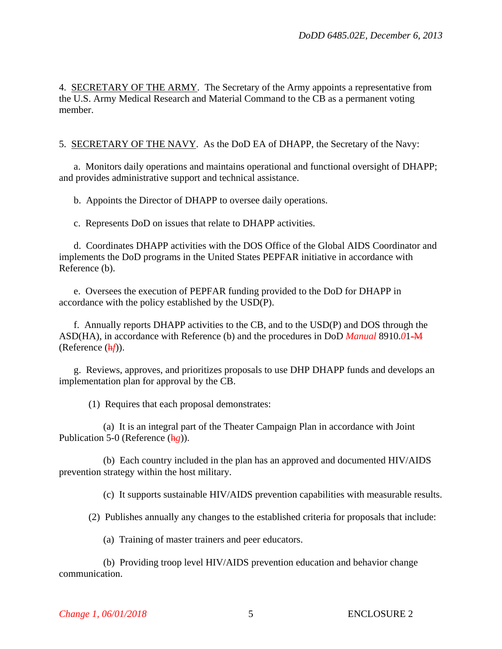4. SECRETARY OF THE ARMY. The Secretary of the Army appoints a representative from the U.S. Army Medical Research and Material Command to the CB as a permanent voting member.

5. SECRETARY OF THE NAVY. As the DoD EA of DHAPP, the Secretary of the Navy:

a. Monitors daily operations and maintains operational and functional oversight of DHAPP; and provides administrative support and technical assistance.

b. Appoints the Director of DHAPP to oversee daily operations.

c. Represents DoD on issues that relate to DHAPP activities.

d. Coordinates DHAPP activities with the DOS Office of the Global AIDS Coordinator and implements the DoD programs in the United States PEPFAR initiative in accordance with Reference (b).

e. Oversees the execution of PEPFAR funding provided to the DoD for DHAPP in accordance with the policy established by the USD(P).

f. Annually reports DHAPP activities to the CB, and to the USD(P) and DOS through the ASD(HA), in accordance with Reference (b) and the procedures in DoD *Manual* 8910.*0*1-M (Reference (h*f*)).

g. Reviews, approves, and prioritizes proposals to use DHP DHAPP funds and develops an implementation plan for approval by the CB.

(1) Requires that each proposal demonstrates:

 (a) It is an integral part of the Theater Campaign Plan in accordance with Joint Publication 5-0 (Reference (h*g*)).

 (b) Each country included in the plan has an approved and documented HIV/AIDS prevention strategy within the host military.

(c) It supports sustainable HIV/AIDS prevention capabilities with measurable results.

(2) Publishes annually any changes to the established criteria for proposals that include:

(a) Training of master trainers and peer educators.

 (b) Providing troop level HIV/AIDS prevention education and behavior change communication.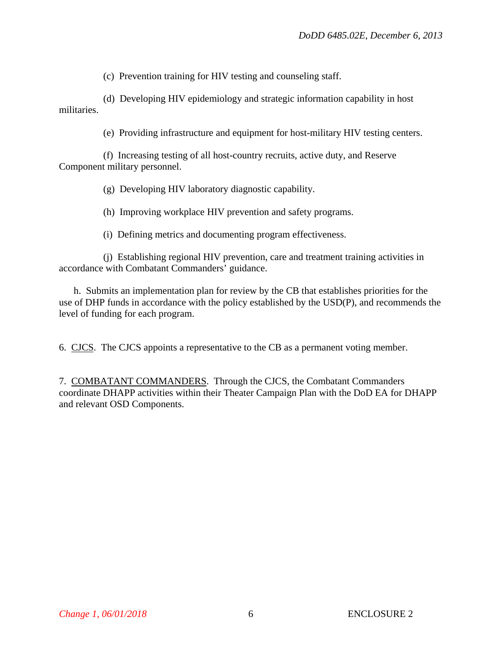(c) Prevention training for HIV testing and counseling staff.

 (d) Developing HIV epidemiology and strategic information capability in host militaries.

(e) Providing infrastructure and equipment for host-military HIV testing centers.

 (f) Increasing testing of all host-country recruits, active duty, and Reserve Component military personnel.

(g) Developing HIV laboratory diagnostic capability.

(h) Improving workplace HIV prevention and safety programs.

(i) Defining metrics and documenting program effectiveness.

 (j) Establishing regional HIV prevention, care and treatment training activities in accordance with Combatant Commanders' guidance.

 h. Submits an implementation plan for review by the CB that establishes priorities for the use of DHP funds in accordance with the policy established by the USD(P), and recommends the level of funding for each program.

6. CJCS. The CJCS appoints a representative to the CB as a permanent voting member.

7. COMBATANT COMMANDERS. Through the CJCS, the Combatant Commanders coordinate DHAPP activities within their Theater Campaign Plan with the DoD EA for DHAPP and relevant OSD Components.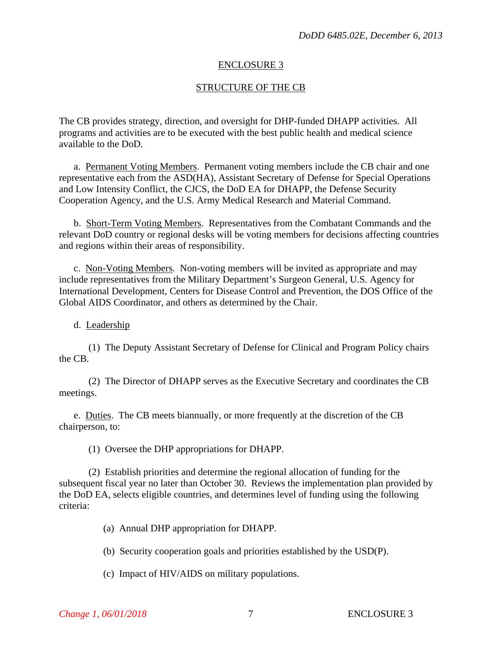#### ENCLOSURE 3

### STRUCTURE OF THE CB

The CB provides strategy, direction, and oversight for DHP-funded DHAPP activities. All programs and activities are to be executed with the best public health and medical science available to the DoD.

a. Permanent Voting Members. Permanent voting members include the CB chair and one representative each from the ASD(HA), Assistant Secretary of Defense for Special Operations and Low Intensity Conflict, the CJCS, the DoD EA for DHAPP, the Defense Security Cooperation Agency, and the U.S. Army Medical Research and Material Command.

 b. Short-Term Voting Members. Representatives from the Combatant Commands and the relevant DoD country or regional desks will be voting members for decisions affecting countries and regions within their areas of responsibility.

c. Non-Voting Members. Non-voting members will be invited as appropriate and may include representatives from the Military Department's Surgeon General, U.S. Agency for International Development, Centers for Disease Control and Prevention, the DOS Office of the Global AIDS Coordinator, and others as determined by the Chair.

#### d. Leadership

(1) The Deputy Assistant Secretary of Defense for Clinical and Program Policy chairs the CB.

(2) The Director of DHAPP serves as the Executive Secretary and coordinates the CB meetings.

e. Duties. The CB meets biannually, or more frequently at the discretion of the CB chairperson, to:

(1) Oversee the DHP appropriations for DHAPP.

(2) Establish priorities and determine the regional allocation of funding for the subsequent fiscal year no later than October 30. Reviews the implementation plan provided by the DoD EA, selects eligible countries, and determines level of funding using the following criteria:

(a) Annual DHP appropriation for DHAPP.

(b) Security cooperation goals and priorities established by the USD(P).

(c) Impact of HIV/AIDS on military populations.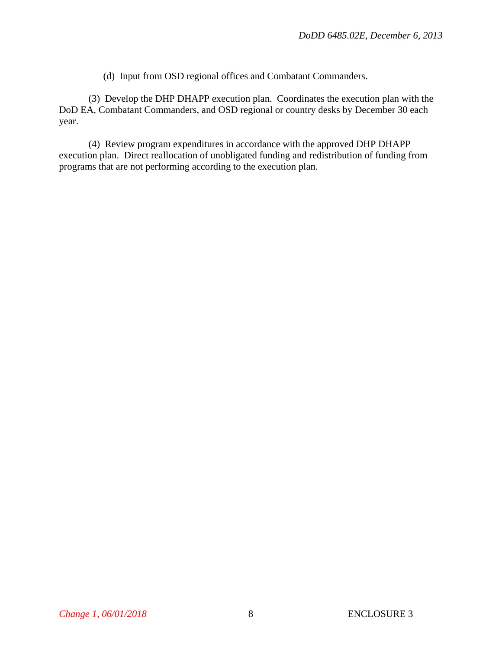(d) Input from OSD regional offices and Combatant Commanders.

(3) Develop the DHP DHAPP execution plan. Coordinates the execution plan with the DoD EA, Combatant Commanders, and OSD regional or country desks by December 30 each year.

(4) Review program expenditures in accordance with the approved DHP DHAPP execution plan. Direct reallocation of unobligated funding and redistribution of funding from programs that are not performing according to the execution plan.